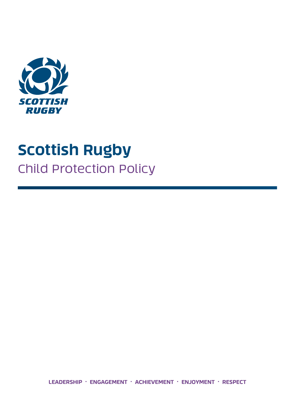

# **Scottish Rugby** Child Protection Policy

**LEADERSHIP . ENGAGEMENT . ACHIEVEMENT . ENJOYMENT . RESPECT**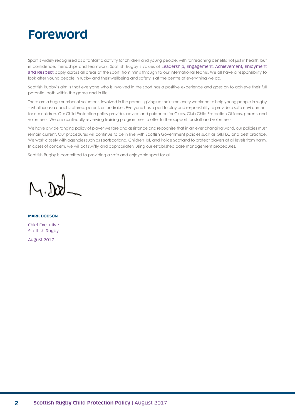# **Foreword**

Sport is widely recognised as a fantastic activity for children and young people, with far reaching benefits not just in health, but in confidence, friendships and teamwork. Scottish Rugby's values of Leadership, Engagement, Achievement, Enjoyment and Respect apply across all areas of the sport, from minis through to our international teams. We all have a responsibility to look after young people in rugby and their wellbeing and safety is at the centre of everything we do.

Scottish Rugby's aim is that everyone who is involved in the sport has a positive experience and goes on to achieve their full potential both within the game and in life.

There are a huge number of volunteers involved in the game – giving up their time every weekend to help young people in rugby – whether as a coach, referee, parent, or fundraiser. Everyone has a part to play and responsibility to provide a safe environment for our children. Our Child Protection policy provides advice and guidance for Clubs, Club Child Protection Officers, parents and volunteers. We are continually reviewing training programmes to offer further support for staff and volunteers.

We have a wide ranging policy of player welfare and assistance and recognise that in an ever changing world, our policies must remain current. Our procedures will continue to be in line with Scottish Government policies such as GIRFEC and best practice. We work closely with agencies such as **sport**scotland, Children 1st, and Police Scotland to protect players at all levels from harm. In cases of concern, we will act swiftly and appropriately using our established case management procedures.

Scottish Rugby is committed to providing a safe and enjoyable sport for all.

**MARK DODSON**

Chief Executive Scottish Rugby August 2017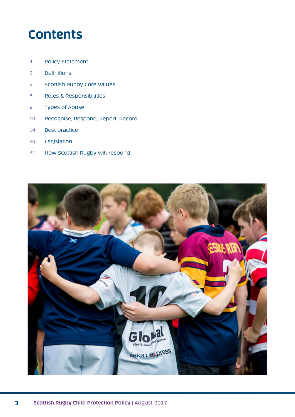# **Contents**

- Policy Statement
- Definitions
- Scottish Rugby Core Values
- Roles & Responsibilities
- Types of Abuse
- Recognise, Respond, Report, Record
- Best practice
- Legislation
- How Scottish Rugby will respond

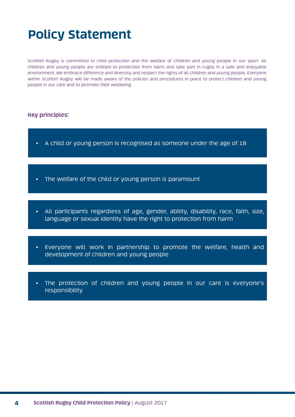# **Policy Statement**

Scottish Rugby is committed to child protection and the welfare of children and young people in our sport. All children and young people are entitled to protection from harm and take part in rugby in a safe and enjoyable environment. We embrace difference and diversity and respect the rights of all children and young people. Everyone within Scottish Rugby will be made aware of the policies and procedures in place to protect children and young people in our care and to promote their wellbeing.

### **Key principles:**

- A child or young person is recognised as someone under the age of 18
- The welfare of the child or young person is paramount
- All participants regardless of age, gender, ability, disability, race, faith, size, language or sexual identity have the right to protection from harm
- Everyone will work in partnership to promote the welfare, health and development of children and young people
- The protection of children and young people in our care is everyone's responsibility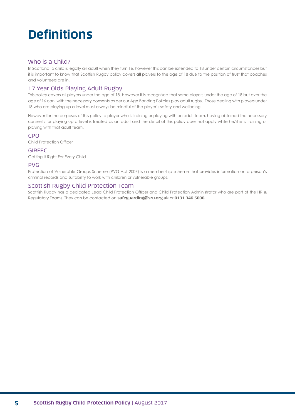# **Definitions**

#### Who is a Child?

In Scotland, a child is legally an adult when they turn 16, however this can be extended to 18 under certain circumstances but it is important to know that Scottish Rugby policy covers **all** players to the age of 18 due to the position of trust that coaches and volunteers are in.

### 17 Year Olds Playing Adult Rugby

This policy covers all players under the age of 18. However it is recognised that some players under the age of 18 but over the age of 16 can, with the necessary consents as per our Age Banding Policies play adult rugby. Those dealing with players under 18 who are playing up a level must always be mindful of the player's safety and wellbeing.

However for the purposes of this policy, a player who is training or playing with an adult team, having obtained the necessary consents for playing up a level is treated as an adult and the detail of this policy does not apply while he/she is training or playing with that adult team.

#### CPO

Child Protection Officer

#### GIRFEC

Getting It Right For Every Child

#### PVG

Protection of Vulnerable Groups Scheme (PVG Act 2007) is a membership scheme that provides information on a person's criminal records and suitability to work with children or vulnerable groups.

#### Scottish Rugby Child Protection Team

Scottish Rugby has a dedicated Lead Child Protection Officer and Child Protection Administrator who are part of the HR & Regulatory Teams. They can be contacted on **safeguarding@sru.org.uk** or **0131 346 5000.**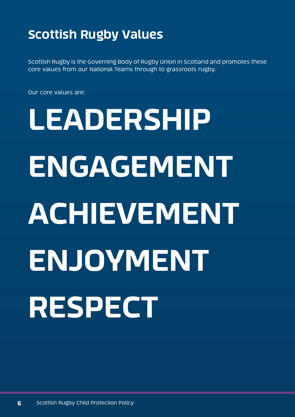# **Scottish Rugby Values**

Scottish Rugby is the Governing Body of Rugby Union in Scotland and promotes these core values from our National Teams through to grassroots rugby.

Our core values are:

# **LEADERSHIP ENGAGEMENT ACHIEVEMENT ENJOYMENT RESPECT**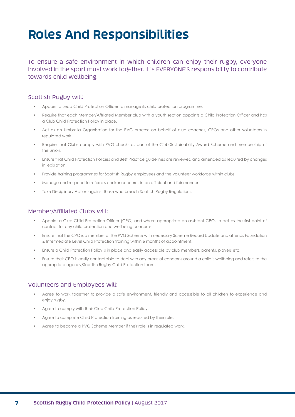# **Roles And Responsibilities**

To ensure a safe environment in which children can enjoy their rugby, everyone involved in the sport must work together. It is EVERYONE'S responsibility to contribute towards child wellbeing.

### Scottish Rugby will:

- Appoint a Lead Child Protection Officer to manage its child protection programme.
- Require that each Member/Affiliated Member club with a youth section appoints a Child Protection Officer and has a Club Child Protection Policy in place.
- Act as an Umbrella Organisation for the PVG process on behalf of club coaches, CPOs and other volunteers in regulated work.
- Require that Clubs comply with PVG checks as part of the Club Sustainability Award Scheme and membership of the union.
- Ensure that Child Protection Policies and Best Practice guidelines are reviewed and amended as required by changes in leaislation.
- Provide training programmes for Scottish Rugby employees and the volunteer workforce within clubs.
- Manage and respond to referrals and/or concerns in an efficient and fair manner.
- Take Disciplinary Action against those who breach Scottish Rugby Regulations.

### Member/Affiliated Clubs will:

- Appoint a Club Child Protection Officer (CPO) and where appropriate an assistant CPO, to act as the first point of contact for any child protection and wellbeing concerns.
- Ensure that the CPO is a member of the PVG Scheme with necessary Scheme Record Update and attends Foundation & Intermediate Level Child Protection training within 6 months of appointment.
- Ensure a Child Protection Policy is in place and easily accessible by club members, parents, players etc.
- Ensure their CPO is easily contactable to deal with any areas of concerns around a child's wellbeing and refers to the appropriate agency/Scottish Rugby Child Protection team.

#### Volunteers and Employees will:

- Agree to work together to provide a safe environment, friendly and accessible to all children to experience and enjoy rugby.
- Agree to comply with their Club Child Protection Policy.
- Agree to complete Child Protection training as required by their role.
- Agree to become a PVG Scheme Member if their role is in regulated work.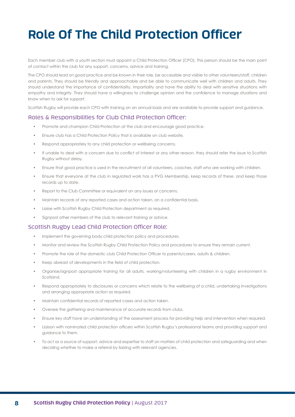# **Role Of The Child Protection Officer**

Each member club with a youth section must appoint a Child Protection Officer (CPO). This person should be the main point of contact within the club for any support, concerns, advice and training.

The CPO should lead on good practice and be known in their role, be accessible and visible to other volunteers/staff, children and parents. They should be friendly and approachable and be able to communicate well with children and adults. They should understand the importance of confidentiality, impartiality and have the ability to deal with sensitive situations with empathy and integrity. They should have a willingness to challenge opinion and the confidence to manage situations and know when to ask for support.

Scottish Rugby will provide each CPO with training on an annual basis and are available to provide support and guidance.

#### Roles & Responsibilities for Club Child Protection Officer:

- Promote and champion Child Protection at the club and encourage good practice.
- Ensure club has a Child Protection Policy that is available on club website.
- Respond appropriately to any child protection or wellbeing concerns.
- If unable to deal with a concern due to conflict of interest or any other reason, they should refer the issue to Scottish Rugby without delay.
- Ensure that good practice is used in the recruitment of all volunteers, coaches, staff who are working with children.
- Ensure that everyone at the club in regulated work has a PVG Membership, keep records of these, and keep those records up to date.
- Report to the Club Committee or equivalent on any issues or concerns.
- Maintain records of any reported cases and action taken, on a confidential basis.
- Liaise with Scottish Rugby Child Protection department as required.
- Signpost other members of the club to relevant training or advice.

#### Scottish Rugby Lead Child Protection Officer Role:

- Implement the governing body child protection policy and procedures.
- Monitor and review the Scottish Rugby Child Protection Policy and procedures to ensure they remain current.
- Promote the role of the domestic club Child Protection Officer to parents/carers, adults & children.
- Keep abreast of developments in the field of child protection.
- Organise/signpost appropriate training for all adults, working/volunteering with children in a rugby environment in Scotland.
- Respond appropriately to disclosures or concerns which relate to the wellbeing of a child, undertaking investigations and arranging appropriate action as required.
- Maintain confidential records of reported cases and action taken.
- Oversee the gathering and maintenance of accurate records from clubs.
- Ensure key staff have an understanding of the assessment process for providing help and intervention when required.
- Liaison with nominated child protection officers within Scottish Rugby's professional teams and providing support and guidance to them.
- To act as a source of support, advice and expertise to staff on matters of child protection and safeguarding and when deciding whether to make a referral by liaising with relevant agencies.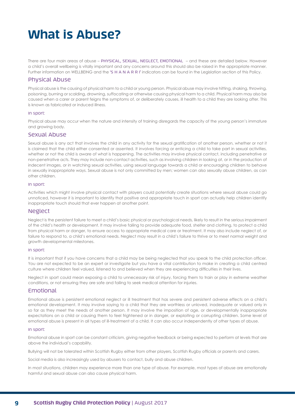# **What is Abuse?**

There are four main areas of abuse – PHYSICAL, SEXUAL, NEGLECT, EMOTIONAL – and these are detailed below. However a child's overall wellbeing is vitally important and any concerns around this should also be raised in the appropriate manner. Further information on WELLBEING and the 'S H A N A R R I' indicators can be found in the Legislation section of this Policy.

### Physical Abuse

Physical abuse is the causing of physical harm to a child or young person. Physical abuse may involve hitting, shaking, throwing, poisoning, burning or scalding, drowning, suffocating or otherwise causing physical harm to a child. Physical harm may also be caused when a carer or parent feigns the symptoms of, or deliberately causes, ill health to a child they are looking after. This is known as fabricated or induced illness.

#### In sport:

Physical abuse may occur when the nature and intensity of training disregards the capacity of the young person's immature and growing body.

#### Sexual Abuse

Sexual abuse is any act that involves the child in any activity for the sexual gratification of another person, whether or not it is claimed that the child either consented or assented. It involves forcing or enticing a child to take part in sexual activities, whether or not the child is aware of what is happening. The activities may involve physical contact, including penetrative or non-penetrative acts. They may include non-contact activities, such as involving children in looking at, or in the production of indecent images, or in watching sexual activities, using sexual language towards a child or encouraging children to behave in sexually inappropriate ways. Sexual abuse is not only committed by men; women can also sexually abuse children, as can other children.

#### In sport:

Activities which might involve physical contact with players could potentially create situations where sexual abuse could go unnoticed, however it is important to identify that positive and appropriate touch in sport can actually help children identify inappropriate touch should that ever happen at another point.

#### Neglect

Neglect is the persistent failure to meet a child's basic physical or psychological needs, likely to result in the serious impairment of the child's health or development. It may involve failing to provide adequate food, shelter and clothing, to protect a child from physical harm or danger, to ensure access to appropriate medical care or treatment. It may also include neglect of, or failure to respond to, a child's emotional needs. Neglect may result in a child's failure to thrive or to meet normal weight and growth developmental milestones.

#### In sport:

It is important that if you have concerns that a child may be being neglected that you speak to the child protection officer. You are not expected to be an expert or investigate but you have a vital contribution to make in creating a child centred culture where children feel valued, listened to and believed when they are experiencing difficulties in their lives.

Neglect in sport could mean exposing a child to unnecessary risk of injury, forcing them to train or play in extreme weather conditions, or not ensuring they are safe and failing to seek medical attention for injuries.

#### Emotional

Emotional abuse is persistent emotional neglect or ill treatment that has severe and persistent adverse effects on a child's emotional development. It may involve saying to a child that they are worthless or unloved, inadequate or valued only in so far as they meet the needs of another person. It may involve the imposition of age, or developmentally inappropriate expectations on a child or causing them to feel frightened or in danger, or exploiting or corrupting children. Some level of emotional abuse is present in all types of ill-treatment of a child. It can also occur independently of other types of abuse.

#### In sport:

Emotional abuse in sport can be constant criticism, giving negative feedback or being expected to perform at levels that are above the individual's capability.

Bullying will not be tolerated within Scottish Rugby either from other players, Scottish Rugby officials or parents and carers.

Social media is also increasingly used by abusers to contact, bully and abuse children.

In most situations, children may experience more than one type of abuse. For example, most types of abuse are emotionally harmful and sexual abuse can also cause physical harm.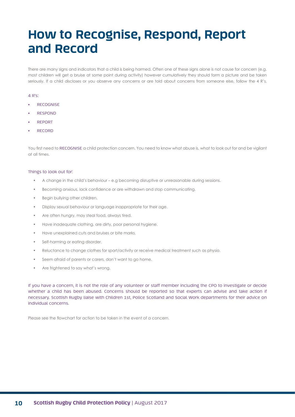# **How to Recognise, Respond, Report and Record**

There are many signs and indicators that a child is being harmed. Often one of these signs alone is not cause for concern (e.g. most children will get a bruise at some point during activity) however cumulatively they should form a picture and be taken seriously. If a child discloses or you observe any concerns or are told about concerns from someone else, follow the 4 R's.

#### 4 R's:

- **RECOGNISE**
- RESPOND
- REPORT
- RECORD

You first need to RECOGNISE a child protection concern. You need to know what abuse is, what to look out for and be vigilant at all times.

#### Things to look out for:

- A change in the child's behaviour e.g becoming disruptive or unreasonable during sessions.
- Becoming anxious, lack confidence or are withdrawn and stop communicating.
- Begin bullying other children.
- Display sexual behaviour or language inappropriate for their age.
- Are often hungry, may steal food, always tired.
- Have inadequate clothing, are dirty, poor personal hygiene.
- Have unexplained cuts and bruises or bite marks.
- Self-harming or eating disorder.
- Reluctance to change clothes for sport/activity or receive medical treatment such as physio.
- Seem afraid of parents or carers, don't want to go home.
- Are frightened to say what's wrong.

If you have a concern, it is not the role of any volunteer or staff member including the CPO to investigate or decide whether a child has been abused. Concerns should be reported so that experts can advise and take action if necessary. Scottish Rugby liaise with Children 1st, Police Scotland and Social Work departments for their advice on individual concerns.

Please see the flowchart for action to be taken in the event of a concern.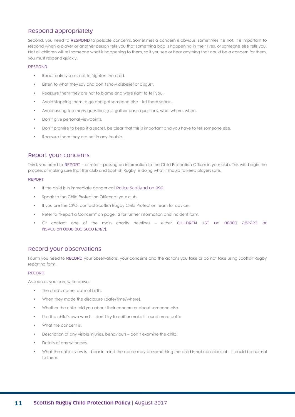### Respond appropriately

Second, you need to RESPOND to possible concerns. Sometimes a concern is obvious; sometimes it is not. It is important to respond when a player or another person tells you that something bad is happening in their lives, or someone else tells you. Not all children will tell someone what is happening to them, so if you see or hear anything that could be a concern for them, you must respond quickly.

#### RESPOND

- React calmly so as not to frighten the child.
- Listen to what they say and don't show disbelief or disgust.
- Reassure them they are not to blame and were right to tell you.
- Avoid stopping them to go and get someone else let them speak.
- Avoid asking too many questions, just gather basic questions, who, where, when.
- Don't give personal viewpoints.
- Don't promise to keep it a secret, be clear that this is important and you have to tell someone else.
- Reassure them they are not in any trouble.

#### Report your concerns

Third, you need to REPORT – or refer – passing on information to the Child Protection Officer in your club. This will begin the process of making sure that the club and Scottish Rugby is doing what it should to keep players safe.

#### REPORT

- If the child is in immediate danger call Police Scotland on 999.
- Speak to the Child Protection Officer at your club.
- If you are the CPO, contact Scottish Rugby Child Protection team for advice.
- Refer to "Report a Concern" on page 12 for further information and incident form.
- Or contact one of the main charity helplines either CHILDREN 1ST on 08000 282223 or NSPCC on 0808 800 5000 (24/7).

### Record your observations

Fourth you need to RECORD your observations, your concerns and the actions you take or do not take using Scottish Rugby reporting form.

#### RECORD

As soon as you can, write down:

- The child's name, date of birth.
- When they made the disclosure (date/time/where).
- Whether the child told you about their concern or about someone else.
- Use the child's own words don't try to edit or make it sound more polite.
- What the concern is.
- Description of any visible injuries, behaviours don't examine the child.
- Details of any witnesses.
- What the child's view is bear in mind the abuse may be something the child is not conscious of it could be normal to them.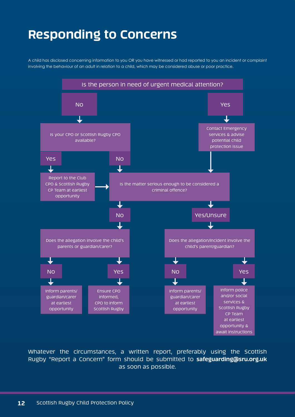# **Responding to Concerns**

A child has disclosed concerning information to you OR you have witnessed or had reported to you an incident or complaint involving the behaviour of an adult in relation to a child, which may be considered abuse or poor practice.



Whatever the circumstances, a written report, preferably using the Scottish Rugby "Report a Concern" form should be submitted to **safeguarding@sru.org.uk** as soon as possible.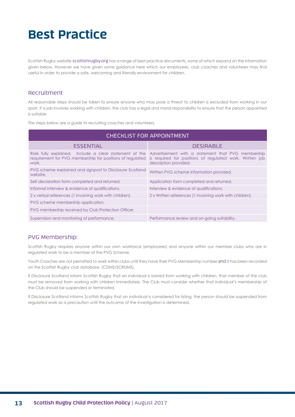# **Best Practice**

Scottish Rugby website scottishrugby.org has a range of best practice documents, some of which expand on the information given below. However we have given some guidance here which our employees, club coaches and volunteers may find useful in order to provide a safe, welcoming and friendly environment for children.

#### Recruitment

All reasonable steps should be taken to ensure anyone who may pose a threat to children is excluded from working in our sport. If a job involves working with children, the club has a legal and moral responsibility to ensure that the person appointed is suitable.

The steps below are a guide to recruiting coaches and volunteers.

| <b>CHECKLIST FOR APPOINTMENT</b>                                     |                                                                                                                                                                                                |  |  |
|----------------------------------------------------------------------|------------------------------------------------------------------------------------------------------------------------------------------------------------------------------------------------|--|--|
| <b>ESSENTIAL</b>                                                     | <b>DESIRABLE</b>                                                                                                                                                                               |  |  |
| requirement for PVG membership for positions of regulated<br>work.   | Role fully explained. Include a clear statement of the Advertisement with a statement that PVG membership<br>is required for positions of regulated work. Written job<br>description provided. |  |  |
| PVG scheme explained and signpost to Disclosure Scotland<br>website. | Written PVG scheme information provided.                                                                                                                                                       |  |  |
| Self-declaration form completed and returned.                        | Application form completed and returned.                                                                                                                                                       |  |  |
| Informal interview & evidence of qualifications.                     | Interview & evidence of qualifications.                                                                                                                                                        |  |  |
| 2 x verbal references (1 involving work with children).              | 2 x Written references (1 involving work with children).                                                                                                                                       |  |  |
| PVG scheme membership application.                                   |                                                                                                                                                                                                |  |  |
| PVG membership received by Club Protection Officer.                  |                                                                                                                                                                                                |  |  |
| Supervision and monitoring of performance.                           | Performance review and on-going suitability.                                                                                                                                                   |  |  |

#### PVG Membership:

Scottish Rugby requires anyone within our own workforce (employees) and anyone within our member clubs who are in regulated work to be a member of the PVG Scheme.

Youth Coaches are not permitted to work within clubs until they have their PVG Membership number and it has been recorded on the Scottish Rugby club database. (CDMS/SCRUMS).

If Disclosure Scotland inform Scottish Rugby that an individual is barred from working with children, that member of the club must be removed from working with children immediately. The Club must consider whether that individual's membership of the Club should be suspended or terminated.

If Disclosure Scotland informs Scottish Rugby that an individual is considered for listing, the person should be suspended from regulated work as a precaution until the outcome of the investigation is determined.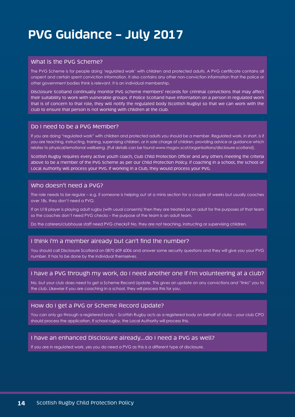# **PVG Guidance – July 2017**

### What is the PVG Scheme?

The PVG Scheme is for people doing 'regulated work' with children and protected adults. A PVG certificate contains all unspent and certain spent conviction information. It also contains any other non-conviction information that the police or other government bodies think is relevant. It is an individual membership.

Disclosure Scotland continually monitor PVG scheme members' records for criminal convictions that may affect their suitability to work with vulnerable groups. If Police Scotland have information on a person in regulated work that is of concern to that role, they will notify the regulated body (Scottish Rugby) so that we can work with the club to ensure that person is not working with children at the club.

#### Do I need to be a PVG Member?

If you are doing "regulated work" with children and protected adults you should be a member. Regulated work, in short, is if you are teaching, instructing, training, supervising children, or in sole charge of children, providing advice or guidance which relates to physical/emotional wellbeing. (Full details can be found www.mygov.scot/organisations/disclosure-scotland).

Scottish Rugby requires every active youth coach, Club Child Protection Officer and any others meeting the criteria above to be a member of the PVG Scheme as per our Child Protection Policy. If coaching in a school, the school or Local Authority will process your PVG. If working in a Club, they would process your PVG.

#### Who doesn't need a PVG?

The role needs to be regular – e.g. if someone is helping out at a minis section for a couple of weeks but usually coaches over 18s, they don't need a PVG.

If an U18 player is playing adult rugby (with usual consents) then they are treated as an adult for the purposes of that team so the coaches don't need PVG checks – the purpose of the team is an adult team.

Do the caterers/clubhouse staff need PVG checks? No, they are not teaching, instructing or supervising children.

### I think I'm a member already but can't find the number?

You should call Disclosure Scotland on 0870 609 6006 and answer some security questions and they will give you your PVG number. It has to be done by the individual themselves.

### I have a PVG through my work, do I need another one if I'm volunteering at a club?

No, but your club does need to get a Scheme Record Update. This gives an update on any convictions and "links" you to the club. Likewise if you are coaching in a school, they will process this for you.

#### How do I get a PVG or Scheme Record Update?

You can only go through a registered body – Scottish Rugby acts as a registered body on behalf of clubs – your club CPO should process the application. If school rugby, the Local Authority will process this.

#### I have an enhanced Disclosure already….do I need a PVG as well?

If you are in regulated work, yes you do need a PVG as this is a different type of disclosure.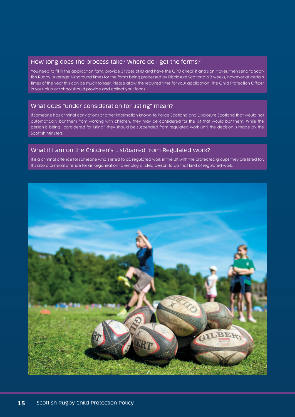### How long does the process take? Where do I get the forms?

You need to fill in the application form, provide 3 types of ID and have the CPO check it and sign it over, then send to Scottish Rugby. Average turnaround times for the forms being processed by Disclosure Scotland is 3 weeks, however at certain times of the year this can be much longer. Please allow the required time for your application. The Child Protection Officer in your club or school should provide and collect your forms.

### What does "under consideration for listing" mean?

If someone has criminal convictions or other information known to Police Scotland and Disclosure Scotland that would not automatically bar them from working with children, they may be considered for the list that would bar them. While the person is being "considered for listing" they should be suspended from regulated work until the decision is made by the Scottish Ministers.

### What if I am on the Children's List/barred from Regulated work?

It is a criminal offence for someone who's listed to do regulated work in the UK with the protected groups they are listed for. It's also a criminal offence for an organisation to employ a listed person to do that kind of regulated work.

![](_page_14_Picture_6.jpeg)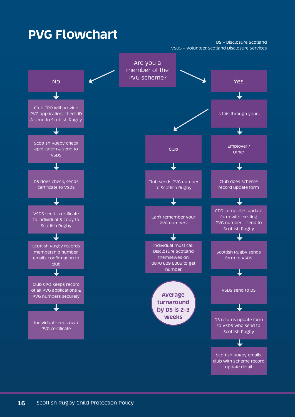# **PVG Flowchart**

DS – Disclosure Scotland VSDS – Volunteer Scotland Disclosure Services

![](_page_15_Figure_2.jpeg)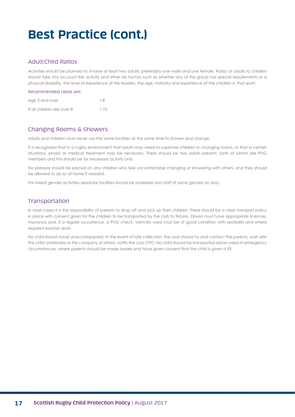# **Best Practice (cont.)**

### Adult:Child Ratios

Activities should be planned to involve at least two adults, preferably one male and one female. Ratios of adults to children should take into account the activity and other risk factors such as whether any of the group has special requirements or a physical disability, the level of experience of the leaders, the age, maturity and experience of the children in that sport.

| Recommended ratios are:    |      |
|----------------------------|------|
| Age 3 and over             | 1.8  |
| If all children are over 8 | 1.10 |

### Changing Rooms & Showers

Adults and children must never use the same facilities at the same time to shower and change.

It is recognised that in a rugby environment that adults may need to supervise children in changing rooms, or that in certain situations, physio or medical treatment may be necessary. There should be two adults present, both of whom are PVG members and this should be for necessary activity only.

No pressure should be placed on any children who feel uncomfortable changing or showering with others, and they should be allowed to do so at home if needed.

For mixed gender activities separate facilities should be available and staff of same gender on duty.

### Transportation

In most cases it is the responsibility of parents to drop off and pick up their children. There should be a clear transport policy in place with consent given for the children to be transported by the club to fixtures. Drivers must have appropriate licences, insurance and, if a regular occurrence, a PVG check. Vehicles used must be of good condition with seatbelts and where required booster seats.

No child should travel unaccompanied. In the event of late collection, the club should try and contact the parents, wait with the child, preferably in the company of others, notify the club CPO. No child should be transported alone unless in emergency circumstances, where parents should be made aware and have given consent that the child is given a lift.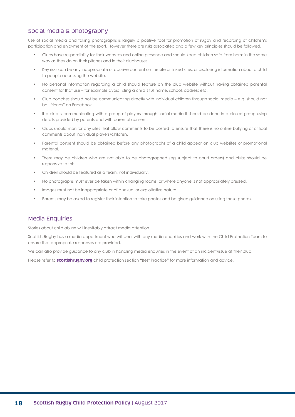### Social media & photography

Use of social media and taking photographs is largely a positive tool for promotion of rugby and recording of children's participation and enjoyment of the sport. However there are risks associated and a few key principles should be followed.

- Clubs have responsibility for their websites and online presence and should keep children safe from harm in the same way as they do on their pitches and in their clubhouses.
- Key risks can be any inappropriate or abusive content on the site or linked sites, or disclosing information about a child to people accessing the website.
- No personal information regarding a child should feature on the club website without having obtained parental consent for that use – for example avoid listing a child's full name, school, address etc.
- Club coaches should not be communicating directly with individual children through social media e.g. should not be "friends" on Facebook.
- If a club is communicating with a group of players through social media it should be done in a closed group using details provided by parents and with parental consent.
- Clubs should monitor any sites that allow comments to be posted to ensure that there is no online bullying or critical comments about individual players/children.
- Parental consent should be obtained before any photographs of a child appear on club websites or promotional material.
- There may be children who are not able to be photographed (eg subject to court orders) and clubs should be responsive to this.
- Children should be featured as a team, not individually.
- No photographs must ever be taken within changing rooms, or where anyone is not appropriately dressed.
- Images must not be inappropriate or of a sexual or exploitative nature.
- Parents may be asked to register their intention to take photos and be given guidance on using these photos.

#### Media Enquiries

Stories about child abuse will inevitably attract media attention.

Scottish Rugby has a media department who will deal with any media enquiries and work with the Child Protection Team to ensure that appropriate responses are provided.

We can also provide guidance to any club in handling media enquiries in the event of an incident/issue at their club.

Please refer to **scottishrugby.org** child protection section "Best Practice" for more information and advice.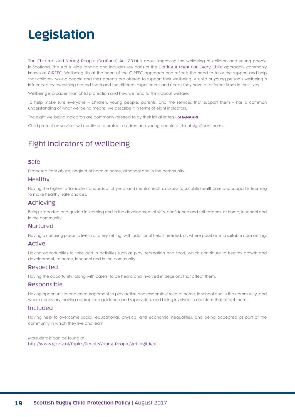# **Legislation**

The Children and Young People (Scotland) Act 2014 is about improving the wellbeing of children and young people in Scotland. The Act is wide ranging and includes key parts of the Getting It Right For Every Child approach, commonly known as GIRFEC. Wellbeing sits at the heart of the GIRFEC approach and reflects the need to tailor the support and help that children, young people and their parents are offered to support their wellbeing. A child or young person's wellbeing is influenced by everything around them and the different experiences and needs they have at different times in their lives.

Wellbeing is broader than child protection and how we tend to think about welfare.

To help make sure everyone – children, young people, parents, and the services that support them – has a common understanding of what wellbeing means, we describe it in terms of eight indicators.

The eight wellbeing indicators are commonly referred to by their initial letters - **SHANARRI**.

Child protection services will continue to protect children and young people at risk of significant harm.

## Eight indicators of wellbeing

#### **S**afe

Protected from abuse, neglect or harm at home, at school and in the community.

#### **H**ealthy

Having the highest attainable standards of physical and mental health, access to suitable healthcare and support in learning to make healthy, safe choices.

#### **A**chieving

Being supported and guided in learning and in the development of skills, confidence and self-esteem, at home, in school and in the community.

#### **N**urtured

Having a nurturing place to live in a family setting, with additional help if needed, or, where possible, in a suitable care setting.

#### **A**ctive

Having opportunities to take part in activities such as play, recreation and sport, which contribute to healthy growth and development, at home, in school and in the community.

#### **R**espected

Having the opportunity, along with carers, to be heard and involved in decisions that affect them.

#### **R**esponsible

Having opportunities and encouragement to play active and responsible roles at home, in school and in the community, and where necessary, having appropriate guidance and supervision, and being involved in decisions that affect them.

#### **I**ncluded

Having help to overcome social, educational, physical and economic inequalities, and being accepted as part of the community in which they live and learn.

More details can be found at: http://www.gov.scot/Topics/People/Young-People/gettingitright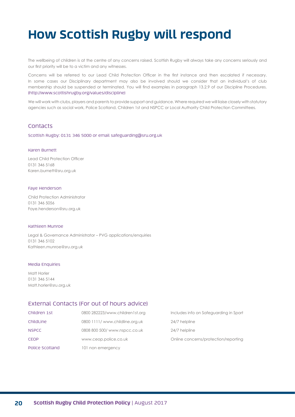# **How Scottish Rugby will respond**

The wellbeing of children is at the centre of any concerns raised. Scottish Rugby will always take any concerns seriously and our first priority will be to a victim and any witnesses.

Concerns will be referred to our Lead Child Protection Officer in the first instance and then escalated if necessary. In some cases our Disciplinary department may also be involved should we consider that an individual's of club membership should be suspended or terminated. You will find examples in paragraph 13.2.9 of our Discipline Procedures. (http://www.scottishrugby.org/values/discipline)

We will work with clubs, players and parents to provide support and guidance. Where required we will liaise closely with statutory agencies such as social work, Police Scotland, Children 1st and NSPCC or Local Authority Child Protection Committees.

#### **Contacts**

Scottish Rugby: 0131 346 5000 or email safeguarding@sru.org.uk

#### Karen Burnett

Lead Child Protection Officer 0131 346 5168 Karen.burnett@sru.org.uk

#### Faye Henderson

Child Protection Administrator 0131 346 5056 Faye.henderson@sru.org.uk

#### Kathleen Munroe

Legal & Governance Administrator – PVG applications/enquiries 0131 346 5102 Kathleen.munroe@sru.org.uk

#### Media Enquiries

Matt Horler 0131 346 5144 Matt.horler@sru.org.uk

#### External Contacts (For out of hours advice)

| Children 1st    | 0800 282223/www.children1st.org | Includes info on Safeguarding in Sport |
|-----------------|---------------------------------|----------------------------------------|
| ChildLine       | 0800 1111/ www.childline.org.uk | 24/7 helpline                          |
| <b>NSPCC</b>    | 0808 800 500/ www.nspcc.co.uk   | 24/7 helpline                          |
| <b>CEOP</b>     | www.ceop.police.co.uk           | Online concerns/protection/reporting   |
| Police Scotland | 101 non emergency               |                                        |